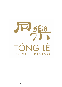

Prices are subject to prevailing service charges & applicable government taxes.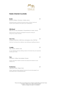

# **Noble Oriental Cocktails**

#### **Buster** 21

Bourbon Whiskey, Cinnamon, Vanilla, Lemon

(Strongly flavored cocktail with dominant spices. Strong in taste and alcohol, well covered by the sweet & sour combination.)

#### **Wild Beast** 21

Baijiu (Er Guo Tou), Strawberry, Chrysanthemum, Honey, Lemon

(Floral and fruity character and despite the alcohol coming out strong, this is a lady's favorite.)

#### **Tom Yum** 21

Kaoliang, White Rum, Kaffir Lime, Lemongrass, Lime, Chili Padi

(Thai Tom Yum flavors into a delicious, easy drinking yet uplifting and spicy.)

#### **Cuddle** 21

Soju, Umeshu, Starfruit, Lime

(A very refreshing and easy drinking, based on the Korean Soju and Japanese Umeshu plum wine)

#### **Toro** 21

White Rum, Coffee, Gula Melaka, Pandan

(Sweet, Peranakan inspired cocktail to be enjoyed with dessert or even instead of it.)

#### **Konbanwa** 21

Japanese Whisky, Ginger, Soda

(Classic Japanese Whisky Highball, flavored with some fresh ginger for an extra gentle layer of satisfying spiciness)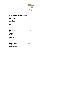

# **Non-Alcoholic Beverages**

| <b>Fresh Juices</b> | Glass |
|---------------------|-------|
| Orange              | 8     |
| Watermelon          | 8     |
| Green Apple         | 8     |
| Lemon               | 8     |
| Lime                | 8     |

| <b>Soft Drinks</b> | Glass |
|--------------------|-------|
| Coke               |       |
| Coke Zero          |       |
| Sprite             |       |
| Tonic              |       |
| Ginger Ale         |       |
| Iced Lemon Tea     | R     |

| <b>Mineral Water</b> | Free Flow |
|----------------------|-----------|
| Nordag Still         |           |
| Nordag Sparkling     |           |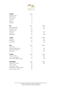

| <b>Aperitif</b>                        | Glass |               |
|----------------------------------------|-------|---------------|
| Martini Extra Dry                      | 12    |               |
| Martini Bianco                         | 12    |               |
| Pimm's No. 1                           | 16    |               |
| Campari                                | 16    |               |
| Pernod                                 | 16    |               |
| Liliet Blanc                           | 16    |               |
| Gin                                    | Glass | <b>Bottle</b> |
| <b>Bombay Sapphire</b>                 | 17    | 210           |
| Tanqueray No. 10                       | 20    | 250           |
| Ki No Bi, Dry Gin                      | 20    |               |
| Monkey 47                              | 23    | 270           |
| Hendrick's                             | 23    | 270           |
| The Botanist                           | 24    | 290           |
| Vodka                                  | Glass | <b>Bottle</b> |
| Ketel One                              | 17    | 210           |
| <b>Belvedere</b>                       | 22    | 270           |
| Grey Goose                             | 22    | 270           |
| Rum                                    | Glass | <b>Bottle</b> |
| Myer's Dark                            | 17    |               |
| Captain Morgan Spiced                  | 17    | 210           |
| <b>Bacardi Carta Blanca</b>            | 17    | 210           |
| <b>Bacardi Oro</b>                     | 16    | 210           |
| Tequila                                | Glass | <b>Bottle</b> |
| Ocumare Anejo                          | 16    | 210           |
| Jose Cuervo Especial                   | 16    | 210           |
| Patron Anejo 100% de Agave             | 22    | 270           |
| <b>Malt Whisky</b>                     | Glass | <b>Bottle</b> |
| Glenfiddich 12 Years                   | 20    | 250           |
| Oban 14 Years                          | 22    |               |
| Langavulin 16 Years                    | 22    |               |
| <b>Bruichladdich Islay Barley 2009</b> | 24    |               |
| Glenmorangie 18 Years                  | 32    |               |

Prices are subject to prevailing service charges & applicable government taxes. All labels in 750ML format unless otherwise stated. Labels & vintages are subject to availability.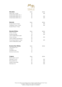

| <b>Macallan</b>              | Glass | <b>Bottle</b> |
|------------------------------|-------|---------------|
| Sherry Oak 12 Years          | 24    | 340           |
| Limited Series Edition No. 4 | 32    |               |
| Limited Series Edition No. 5 | 32    | 400           |
| Limited Series Edition No. 6 | 35    | 450           |
| <b>Balvenie</b>              | Glass | <b>Bottle</b> |
| Double Wood 12 Years         | 24    | 290           |
| Caribbean Cask 14 Years      | 26    | 320           |
| Double Wood 17 Years         | 30    |               |
| <b>Blended Whisky</b>        | Glass | <b>Bottle</b> |
| Chivas 12 Years              | 18    | 220           |
| Monkey Shoulder              | 18    | 220           |
| Johnny Walker Black Label    | 22    |               |
| Chivas 18 Years              | 24    | 290           |
| Johnny Walker Gold Reserve   | 24    |               |
| Chivas Royal Salute 21 Years | 32    | 460           |
| Johnny Walker Blue Label     | 34    |               |
| <b>Bourbon/Rye Whisky</b>    | Glass | <b>Bottle</b> |
| Jack Daniel's No. 7          | 16    |               |
| Jim Bean                     | 16    |               |
| Canadian Club                | 16    |               |
| Sonoma County Rye            | 22    |               |
| Cognac                       | Glass | <b>Bottle</b> |
| Remy Martin V.S.O.P.         | 18    |               |
| Hennessy V.S.O.P.            | 24    | 290           |
| Remy Martin X.O.             | 32    | 460           |
| Martell Cordon Bleu          | 32    | 460           |
| Hennessy X.O.                | 38    | 560           |

Prices are subject to prevailing service charges & applicable government taxes. All labels in 750ML format unless otherwise stated. Labels & vintages are subject to availability.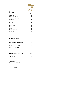

# **Liqueur**

|                       | Glass   |
|-----------------------|---------|
| Amaretto              | 12      |
| D.O.M. Bénédictine    | 12      |
| Butterscotch Schnapps | 12      |
| Chambord              | 12      |
| Drambuie              | 12      |
| Frangelico            | 12      |
| Galliano              | 12      |
| <b>Grand Marnier</b>  | 12      |
| Kahlúa                | 12      |
| Midori                | 12      |
| Peach Schnapps        | $12 \,$ |
| Sambuca               | 12      |

# **Chinese Wine**

| Chinese Yellow Wine 黄酒    | <b>Bottle</b> |
|---------------------------|---------------|
| Gu Yue Long Shan 20 Years | 170           |
| 古越龙山花雕 二十年                |               |

| Chinese Whi <del>l</del> e Wine 白酒 | <b>Bottle</b> |
|------------------------------------|---------------|
| Shui Jing Fang<br>水井坊 52% vol      | 380           |
| Wu Liang Ye<br>四川宜宾市五粮液 52% vol    | 440           |
| Kweichow Moutai<br>贵州茅台 53% vol    | 1000          |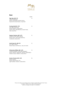

Bottle

# **Beer**

| Tiger Beer ABV: 5%<br>Lager (Singapore)<br>Notes: Full-bodied, beady aroma,<br>tropical fruit, silky texture, crisp finish                                          | 14 |
|---------------------------------------------------------------------------------------------------------------------------------------------------------------------|----|
| Fucking Hell ABV: 4.9%<br>Ale Lager (Germany)<br>Notes: Medium Carbonation,<br>Grassy taste, mild bitterness, bread malty,<br>fairly crisp finish                   | 14 |
| Sapporo Premium ABV: 4.9%<br>American Pale Lager (Japan)<br>Notes: Grain, malt, mild sweetness,<br>moderate carbonation                                             | 15 |
| Asahi Super Dry ABV: 5%<br>Dry Lager (Japan)<br>Notes: Heavy malt flavour, crisp, dry taste                                                                         | 15 |
| St. Bernardus Witbier ABV: 5.5%<br>Traditional Belgian White Beer (Belgian)<br>Notes: Wheaty, apple-like, tartness; herbal-Spicy<br>Medium-body, Medium carbonation | 15 |
| Suntory Premium ABV: 5.5%<br>Pilsner (Japan)<br>Notes: Floral aroma, rich,                                                                                          | 18 |

Light-bodied, medium carbonation

Prices are subject to prevailing service charges & applicable government taxes. All labels in 750ML format unless otherwise stated. Labels & vintages are subject to availability.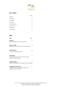

# **Illy's Coffee**

|                 | Glass |
|-----------------|-------|
| Espresso        |       |
| Macchiato       | 7     |
| Long Black      |       |
| Flat White      | 9     |
| Double Espresso | 9     |
| Cappuccino      | 9     |
| Café Latte      | 9     |
| Café Mocha      | 9     |

## **TWG**

| Tea                                                                                                 | Glass |
|-----------------------------------------------------------------------------------------------------|-------|
| <b>Earl Grey</b><br>Blend of bergamot oil and citrus plant                                          | 8     |
| <b>Moroccan Mint</b><br>Green Tea with strong and suave Sahara Mints                                | 8     |
| Vanilla Bourbon<br>S. African red tea flavoured                                                     | 8     |
| Chamomille<br>Chamomille flowers with rich honey aroma,<br>a golden Theine-free tea                 | 8     |
| <b>English Breakfast</b><br>Strong full-bodied black tea, light floral undertones                   | 8     |
| Celebration (Flower Tea)<br>Handicraft into a bouquet with blossoms of<br>orange lily and osmanthus | 12    |

Prices are subject to prevailing service charges & applicable government taxes. All labels in 750ML format unless otherwise stated. Labels & vintages are subject to availability.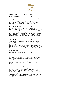

| <b>Chinese Tea</b> | (per pot/4 persons) |
|--------------------|---------------------|
|--------------------|---------------------|

#### **Chrysanthemum Bulb** 15

The Chrysanthemum is produced in Tong Xiang, Zhejiang. Tong Xiang is a protected county under the China Agricultural Department. The Chrysanthemum is grown in strict Non-polluting and toxin environment. Chrysanthemum has anti-toxin and anti-heatiness properties. Regular consumption helps to improve eyesight and complexion.

#### **Forbidden Dragon Pearl** 15

Our Forbidden Dragon Pearl tea comes from Fuzhou, China. The leaf buds are hand-picked and rolled in spring, and then carefully stored. In summer, when the night blooming jasmine flowers are harvested, the tea leaves are brought out of storage and hand scented with the freshly collected flowers for at least 5 consecutive nights. When infused, the Dragon Pearls unfurl to release a wonderfully sweet and delicate floral scent balanced with a fresh green tea taste. Known to relax and revive the body and mind for centuries.

#### **18 Years Pu Er** 15

A sophisticated tea collected by tea connoisseurs. Our Pu Er from Yunnan in China was once presented as a tribute in the Imperial palace during the Qing Dynasty. It has been carefully hand harvested and processed to prevent unnecessary bruising, and then naturally aged in dry storage for 18 years. A reddish tea liquor with a smooth rich body and complex earthy flavors characteristic of Pu Er. Contains high levels of antioxidants and is known to lower cholesterol and aid weight loss or maintenance.

#### **Hangzhou Long Jing (Green Tea)** 15

One of China's best known green teas, our Lion's peak Dragon Well comes from the Lion Mountain in Zhejiang Province. The tea leaves are first flush leaves that have been harvested just before Qing Ming Festival and then subjected to a laborious process of drying. The resulting flat and smooth leaves yield a pale jade liquor that is refreshingly smooth, sweet and delicate, with a hint of sweet chestnuts. It has anti-cholesterol build-up agents and anti-oxidants as well.

#### **Heavenly Red Robe (Oolong)** 25

Heavenly Red Robe has more than 300 years of history. Several mother trees has survived till this day and been made the national treasure tea. Originally grown in the high cliff of the Nine Dragon Nest, the finished Heavenly Red Robe is of supreme quality and taste. Using traditional roasting process, it is relatively thick in flavour and able to withstand numerous infusion! Used as tribute tea in the past and serve as a beverage now for high state dinners and visiting overseas delegates.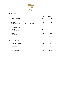

# **CHAMPAGNE**

|                                                             | <b>VINTAGE</b> | <b>BOTTLE</b> |
|-------------------------------------------------------------|----------------|---------------|
| ANDRÉ JACQUART<br>LE MESNIL GRAND CRU BLANC DE BLANCS       | N.V.           | \$178         |
| <b>DOYARD</b><br>CUVÉE RÉVOLUTION GRAND CRU BLANC DE BLANCS | N.V.           | \$188         |
| <b>HENRI GIRAUD</b><br>HOMMAGE AU PINOT NOIR                | <b>N.V.</b>    | \$220         |
| <b>RUINART</b><br><b>BLANC DE BLANCS</b>                    | N.V.           | \$260         |
| <b>KRUG</b><br><b>GRANDE CUVÉE</b>                          | N.V.           | \$550         |
| <b>JACQUES SELOSSE</b><br><b>SUBSTANCE</b>                  | N.V.           | \$1388        |
| <b>ROSÉ CHAMPAGNE</b>                                       |                |               |
| <b>BILLECART-SALMON</b><br><b>BRUT</b>                      | N.V.           | \$198         |
| <b>TAITTINGER</b><br><b>BRUT</b>                            | N.V.           | \$220         |
| <b>JACQUES SELOSSE</b><br><b>BRUT ROSÉ</b>                  | N.V.           | \$1288        |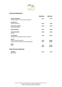

## **VINTAGE CHAMPAGNE**

|                                                          | <b>VINTAGE</b> | <b>BOTTLE</b>    |
|----------------------------------------------------------|----------------|------------------|
| PIERRE GIMONNET<br>CUVÉE FLEURON 1ER CRU BLANC DE BLANCS | 2014           | \$178            |
| <b>DELAMOTTE</b>                                         |                |                  |
| <b>BLANC DE BLANCS</b>                                   | 2014           | \$238            |
| <b>BILLECART-SALMON</b><br>NICOLAS FRANÇOIS              | 2002           | \$498            |
| <b>DOM PÉRIGNON</b>                                      | 2010           | \$488            |
| <b>LOUIS ROEDERER</b><br><b>CRISTAL</b>                  | 2008           | \$688            |
| <b>TAITTINGER</b><br>COMTES DE CHAMPAGNE BLANC DE BLANCS | 1996           | \$1780           |
| <b>SALON</b>                                             |                |                  |
| <b>CUVÉE S BLANC DE BLANCS</b>                           | 2002           | \$2888           |
| CUVÉE S BLANC DE BLANCS [LATE DISGORGED]                 | 1997           | \$2288           |
| <b>KRUG</b>                                              |                |                  |
| <b>BRUT</b>                                              | 1995<br>2002   | \$1498<br>\$1288 |
|                                                          |                |                  |
| <u>ROSÉ VINTAGE CHAMPAGNE</u>                            |                |                  |
| <b>HENRIOT</b>                                           | 2012           | \$198            |
| <b>BRUT ROSÉ</b>                                         |                |                  |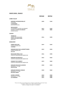

## **WHITE WINE - FRANCE**

|                                                                                                               | <b>VINTAGE</b>       | <b>BOTTLE</b>           |
|---------------------------------------------------------------------------------------------------------------|----------------------|-------------------------|
| <b>LOIRE VALLEY</b>                                                                                           |                      |                         |
| <b>DOMAINE ALPHONSE MELLOT</b><br><b>SANCERRE</b><br><b>LA MOUSSIÈRE</b><br>[SAUVIGNON BLANC]                 | 2020                 | \$148                   |
| <b>NICOLAS JOLY</b><br>SAVENNIÈRES COULÉE-DE-SERRANT<br><b>CLOS DE LA COULÉE-DE-SERRANT</b><br>[CHENIN BLANC] | 2013<br>1995         | \$248<br>\$888          |
| <b>ALSACE</b>                                                                                                 |                      |                         |
| TRIMBACH<br><b>GRAND CRUS ROSACKER</b><br><b>CUVÉE CLOS SAINTE HUNE</b><br>[RIESLING]                         | 2016                 | \$498                   |
| <b>BURGUNDY</b>                                                                                               |                      |                         |
| <b>SAMUEL BILLAUD</b><br><b>CHABLIS GRAND CRU</b><br><b>VAUDÉSIR</b>                                          | 2019                 | \$238                   |
| <b>DOMAINE JEAN PAUL &amp; BENOÎT DROIN</b><br><b>CHABLIS GRAND CRU</b><br><b>LES CLOS</b>                    | 2019                 | \$258                   |
| <b>BOUCHARD PÈRE &amp; FILS</b><br>CORTON-CHARLEMAGNE GRAND CRU                                               | 2016                 | \$398                   |
| <b>DOMAINE DE MONTILLE</b><br>CORTON-CHARLEMAGNE GRAND CRU                                                    | 2016                 | \$428                   |
| <b>CHARLES VAN CANNEYT</b><br>CORTON-CHARLEMAGNE GRAND CRU                                                    | 2019                 | \$468                   |
| <b>DOMAINE FRANCOIS GAUNOUX</b><br>MEURSAULT 1ER CRU<br><b>GOUTTE D'OR</b>                                    | 2018                 | \$258                   |
| <b>DOMAINE BUISSON-CHARLES</b><br>MEURSAULT 1ER CRU<br><b>BOUCHES-CHÈRES</b>                                  | 2018                 | \$268                   |
| <b>LUCIEN LE MOINE</b><br><b>MEURSAULT 1ER CRU</b><br><b>LES PERRIÈRES</b>                                    | 2010<br>2012<br>2015 | \$538<br>\$488<br>\$488 |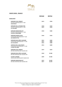

# **WHITE WINE - FRANCE**

|                                                                                          | <b>VINTAGE</b>       | <b>BOTTLE</b>           |
|------------------------------------------------------------------------------------------|----------------------|-------------------------|
| <b>BURGUNDY</b>                                                                          |                      |                         |
| <b>DOMAINE PAUL PERNOT</b><br>PULIGNY-MONTRACHET1ER CRU<br><b>CHALUMAUX</b>              | 2019                 | \$298                   |
| <b>DOMAINE DE LA POUSSE D'OR</b><br>PULIGNY-MONTRACHET1ER CRU<br><b>LE CAILLERET</b>     | 2018<br>2019         | \$338<br>\$328          |
| <b>DOMAINE HENRI BOILLOT</b><br>PULIGNY-MONTRACHET 1ER CRU<br><b>CLOS DE LA MOUCHÈRE</b> | 2018                 | \$488                   |
| <b>DOMAINE JOSEPH COLIN</b><br>CHASSAGNE-MONTRACHET1ER CRU<br><b>LES CHENEVOTTES</b>     | 2018                 | \$328                   |
| DOMAINE JEAN-NÖEL GAGNARD<br>CHASSAGNE-MONTRACHET 1ER CRU<br><b>LES CAILLERETS</b>       | 2012<br>2015<br>2016 | \$408<br>\$408<br>\$388 |
| <b>CHÂTEAU DE LA MALTROYE</b><br>CHASSAGNE-MONTRACHET 1ER CRU<br><b>LA DENT DE CHIEN</b> | 2014                 | \$688                   |
| <b>DOMAINE PAUL PERNOT</b><br>BÂTARD-MONTRACHET GRAND CRU                                | 2019                 | \$628                   |
| DOMAINE JEAN-NÖEL GAGNARD<br>BÂTARD-MONTRACHET GRAND CRU                                 | 2018                 | \$1388                  |
| <b>LUCIEN LE MOINE</b><br>CHEVALIER-MONTRACHET GRAND CRU                                 | 2009                 | \$1388                  |
| <b>DOMAINE HENRI BOILLOT</b><br>BÂTARD-MONTRACHET GRAND CRU                              | 2015<br>2017         | \$1498<br>\$1298        |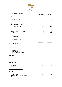

## **WHITE WINES - FRANCE**

|                                                                                      | <b>VINTAGE</b>    | <b>BOTTLE</b>  |
|--------------------------------------------------------------------------------------|-------------------|----------------|
| RHÔNE VALLEY                                                                         |                   |                |
| <b>CHÂTEAU GRILLET</b>                                                               | 2015              | \$728          |
| <b>DOMAINE GEORGES VERNAY</b><br><b>CONDRIEU</b><br><b>LES TERRASSES DE L'EMPIRE</b> | 2020              | \$178          |
| PAUL JABOULET AÎNÉ<br><b>HERMITAGE</b><br>LE CHEVALIER DE STERIMBERG                 | 2019              | \$208          |
| DOMAINE JEAN-LOUIS CHAVE<br><b>HERMITAGE</b>                                         | 2013/2014<br>2017 | \$738<br>\$698 |
| <b>DOMAINE DE MARCOUX</b><br><b>CHÂTEAUNEUF-DU-PAPE</b>                              | 2019              | \$188          |
| WHITE WINE - ITALY                                                                   |                   |                |

|                                                                              | <b>VINTAGE</b> | <b>BOTTLE</b> |
|------------------------------------------------------------------------------|----------------|---------------|
| <b>ALTO ADIGE DOC</b>                                                        |                |               |
| <b>ELENA WALCH</b><br><b>VIGNA CASTEL RINGBERG</b><br>[RIESLING]             | 2018           | \$148         |
| <b>ELENA WALCH</b><br><b>BEYOND THE CLOUDS</b><br>[PREDOMINANTLY CHARDONNAY] | 2019           | \$228         |
| <b>FRUILI IGT</b>                                                            |                |               |
| <b>JERMANN</b><br><b>W DREAMS  </b><br>[CHARDONNAY]                          | 2015           | \$228         |
| <b>LANGHE DOC</b>                                                            |                |               |
| CA' DEL BAIO<br>[RIESLING]                                                   | 2016           | \$138         |
| <b>WHITE WINE - GERMANY</b>                                                  |                |               |
| <b>PFALZ</b>                                                                 |                |               |
| <b>VON WINNING</b><br><b>FORST UNGEHEUER GROSSES GEWÄCHS</b>                 | 2017           | \$188         |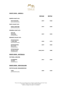

## **WHITE WINE - AMERICA**

|                                                                  | <b>VINTAGE</b> | <b>BOTTLE</b> |
|------------------------------------------------------------------|----------------|---------------|
| <b>NORTH COAST AVA</b>                                           |                |               |
| <b>SPOTTSWOODE</b><br>[SAUVIGNON BLANC]                          | 2019           | \$168         |
| <b>NAPA VALLEY AVA</b>                                           |                |               |
| <b>EISELE VINEYARD</b><br>[SAUVIGNON BLANC]                      | 2019           | \$248         |
| <b>SONOMA COAST AVA</b>                                          |                |               |
| <b>KISTLER</b><br><b>NOISETIERS</b><br>[CHARDONNAY]              | 2019           | \$238         |
| <b>KNIGHTS VALLEY AVA</b>                                        |                |               |
| <b>PETER MICHAEL</b><br><b>L'APRES-MIDI</b><br>[SAUVIGNON BLANC] | 2018           | \$178         |
| PETER MICHAEL<br><b>BELLE CÔTE</b><br>[CHARDONNAY]               | 2019           | \$368         |
| <b>PETER MICHAEL</b><br><b>MA BELLE-FILLE</b><br>[CHARDONNAY]    | 2018/2019      | \$388         |
| <b>WHITE WINE - AUSTRALIA</b>                                    |                |               |
| VICTORIA, GEELONG                                                |                |               |
| <b>LETHBRIDGE</b><br>ALLEGRA<br>[CHARDONNAY]                     | 2013           | \$168         |
| <b>WHITE WINE - NEW ZEALAND</b>                                  |                |               |
| SOUTH ISLAND, MARLBOROUGH                                        |                |               |
| <b>TOHU</b><br>[SAUVIGNON BLANC]                                 | 2020           | \$138         |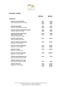

|                                         | <b>VINTAGE</b> | <b>BOTTLE</b> |
|-----------------------------------------|----------------|---------------|
| <b>BORDEAUX</b>                         |                |               |
| <b>CHÂTEAU COS D'ESTOURNEL</b>          | 2003           | \$588         |
| SAINT-ESTEPHÈ 2ÈME CRU CLASSÉ           | 2010           | \$638         |
|                                         | 2016           | \$508         |
| <b>CHÂTEAU MONTROSE</b>                 | 2009           | \$698         |
| SAINT-ESTEPHÈ 2ÈME CRU CLASSÉ           | 2018           | \$528         |
| <b>CHÂTEAU PICHON LONGUEVILLE BARON</b> | 2005           | \$598         |
| PAUILLAC 2ÈME CRU CLASSÉ                | 2010           | \$558         |
| <b>CHÂTEAU PICHON LONGUEVILLE</b>       | 2010           | \$688         |
| <b>COMTESSE DE LALANDE</b>              | 2016           | \$498         |
| PAUILLAC 2ÈME CRU CLASSÉ                |                |               |
| <b>CHÂTEAU LYNCH-BAGES</b>              | 1989           | \$1028        |
| PAUILLAC 5ÈME CRU CLASSÉ                |                |               |
| <b>CHÂTEAU MOUTON ROTHSCHILD</b>        | 2010           | \$1998        |
| PAUILLAC 1ER CRU CLASSÉ                 |                |               |
| <b>CHÂTEAU LAFITE ROTHSCHILD</b>        | 1996           | \$2588        |
| PAUILLAC 1ER CRU CLASSÉ                 | 2010           | \$3088        |
| <b>CHÂTEAU LATOUR</b>                   | 2000           | \$2688        |
| PAUILLAC 1ER CRU CLASSÉ                 |                |               |
| <b>CHÂTEAU LAFITE ROTHSCHILD</b>        | 1982           | \$10800       |
| PAUILLAC 1ER CRU CLASSÉ                 |                |               |
| <b>CHÂTEAU DUCRU-BEAUCAILLOU</b>        | 2010           | \$708         |
| SAINT-JULIEN 2ÈME CRU CLASSÉ            |                |               |
| <b>CHÂTEAU LÉOVILLE LAS CASES</b>       |                |               |
| SAINT-JULIEN 2ÈME CRU CLASSÉ            | 2015           | \$498         |
| <b>CHÂTEAU MARGAUX</b>                  | 1996           | \$2288        |
| MARGAUX 1ER CRU CLASSÉ                  | 1990           | \$2998        |
|                                         | 2015           | \$3398        |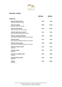

|                                                                            | <b>VINTAGE</b> | <b>BOTTLE</b> |
|----------------------------------------------------------------------------|----------------|---------------|
| <b>BORDEAUX</b>                                                            |                |               |
| <b>CHÂTEAU RAUZAN-SÉGLA</b><br>MARGAUX 2ÈME CRU CLASSÉ                     | 2010           | \$428         |
| <b>CHÂTEAU PALMER</b><br>MARGAUX 3ÈME CRU CLASSÉ                           | 2000           | \$1188        |
| <b>CHÂTEAU HAUT-BRION</b><br>PESSAC-LÉOGNAN 1ER CRU CLASSÉ                 | 2009           | \$1898        |
| <b>CHÂTEAU SMITH HAUT LAFITTE</b><br>PESSAC-LÉOGNAN GRAND CRU CLASSÉ       | 2019           | \$358         |
| <b>CHÂTEAU TROPLONG MONDOT</b><br>SAINT-ÉMILION PREMIER GRAND CRU CLASSÉ B | 2010           | \$498         |
| <b>CHÂTEAU FIGEAC</b><br>SAINT-ÉMILION PREMIER GRAND CRU CLASSÉ B          | 2016           | \$638         |
| <b>CHÂTEAU CHEVAL BLANC</b><br>SAINT-ÉMILION PREMIER GRAND CRU CLASSÉ A    | 1990           | \$2580        |
| <b>CHÂTEAU L'EGLISE-CLINET</b><br><b>POMEROL</b>                           | 2012           | \$528         |
| <b>CHÂTEAU CLIENT</b><br><b>POMEROL</b>                                    | 2010           | \$538         |
| <b>CHÂTEAU LA CONSEILLANTE</b><br><b>POMEROL</b>                           | 2010           | \$588         |
| <b>VIEUX CHÂTEAU CERTAN</b><br><b>POMEROL</b>                              | 2009           | \$698         |
| <b>PETRUS</b><br><b>POMEROL</b>                                            | 1990           | \$9288        |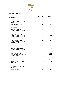

|                                   | <b>VINTAGE</b> | <b>BOTTLE</b> |
|-----------------------------------|----------------|---------------|
| <b>BURGUNDY</b>                   |                |               |
| DOMAINE HENRI REBOURSEAU          | 2018           | \$308         |
| <b>GEVREY-CHAMBERTIN 1ER CRU</b>  |                |               |
| <b>FONTENYS</b>                   |                |               |
| <b>CHARLES VAN CANNEYT</b>        | 2015           | \$338         |
| <b>GEVREY-CHAMBERTIN 1ER CRU</b>  |                |               |
| <b>LES CAZETIERS</b>              |                |               |
| <b>DOMAINE JOSEPH ROTY</b>        | 2015           | \$388         |
| <b>GEVREY-CHAMBERTIN 1ER CRU</b>  |                |               |
| <b>LES FONTENYS</b>               |                |               |
| <b>DOMAINE BRUNO CLAIR</b>        | 2016           | \$448         |
| <b>GEVREY-CHAMBERTIN 1ER CRU</b>  | 2017           | \$408         |
| <b>GEVREY-CHAMBERTIN 1ER CRU</b>  |                |               |
| <b>LES CAZETIERS</b>              |                |               |
| <b>DOMAINE BRUNO CLAIR</b>        | 2012           | \$598         |
| <b>GEVREY-CHAMBERTIN 1ER CRU</b>  |                |               |
| <b>CLOS SAINT-JACQUES</b>         |                |               |
| <b>DOMAINE CLAUDE DUGAT</b>       | 2015           | \$468         |
| <b>GEVREY-CHAMBERTIN 1ER CRU</b>  |                |               |
| <b>DOMAINE DENIS BACHELET</b>     | 2015           | \$788         |
| <b>GEVREY-CHAMBERTIN 1ER CRU</b>  |                |               |
| LES CORBEAUX VIEILLES VIGNES      |                |               |
| <b>DOMAINE JOSEPH ROTY</b>        | 2012           | \$1288        |
| CHARMES-CHAMBERTIN GRAND CRU      | 2015           | \$1098        |
| <b>TRÈS VIEILLES VIGNES</b>       |                |               |
| <b>DOMAINE PERROT-MINOT</b>       |                |               |
| CHAMBERTIN CLOS DE BÈZE GRAND CRU | 2015           | \$1580        |
| <b>DOMAINE DU CLOS DE TART</b>    | 2018           | \$288         |
| MOREY-SAINT-DENIS                 |                |               |
| <b>DOMAINE SÉRAFIN</b>            | 2012/2013      | \$358         |
| CHAMBOLLE-MUSIGNY 1ER CRU         |                |               |
| <b>LES BAUDES</b>                 |                |               |
| <b>LUCIEN LE MOINE</b>            | 2015           | \$828         |
| <b>BONNES MARES GRAND CRU</b>     |                |               |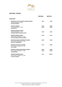

|                                                                                                              | VINTAGE      | <b>BOTTLE</b>  |
|--------------------------------------------------------------------------------------------------------------|--------------|----------------|
| <b>BURGUNDY</b>                                                                                              |              |                |
| <b>DOMAINE DU CLOS FRANTIN ALBERT BICHOT</b><br><b>VOSNE-ROMANÉE 1ER CRU</b><br><b>LES MALCONSORTS</b>       | 2016         | \$358          |
| <b>LUCIEN LE MOINE</b><br><b>VOSNE-ROMANÉE 1ER CRU</b><br><b>LES SUCHOTS</b>                                 | 2015<br>2018 | \$498<br>\$488 |
| <b>DOMAINE PERROT-MINOT</b><br><b>VOSNE-ROMANÉE 1ER CRU</b><br>LES BEAUX MONTS VIEILLES VIGNES               | 2018         | \$528          |
| <b>DOMAINE HENRI GOUGES</b><br>NUITS-SAINT-GEORGES 1ER CRU<br><b>CLOS DES PORRETS SAINT GEORGES</b>          | 2018         | \$218          |
| <b>DOMAINE JACQUES-FRÉDÉRIC MUGNIER</b><br><b>NUITS-SAINT-GEORGES 1ER CRU</b><br><b>CLOS DE LA MARÉCHALE</b> | 2009         | \$488          |
| <b>DOMAINE SYLVAIN CATHIARD</b><br><b>NUITS-SAINT-GEORGES 1ER CRU</b><br><b>AUX THOREY</b>                   | 2014         | \$688          |
| <b>DOMAINE CHRISTOPHE PERROT-MINOT</b><br><b>NUITS-SAINT-GEORGES 1ER CRU</b><br><b>LA RICHEMONE</b>          | 2009<br>2010 | \$508<br>\$508 |
| <b>DOMAINE PRIEURÉ-ROCH</b><br><b>NUITS-SAINT-GEORGES 1ER CRU</b><br><b>CLOS DES CORVÉES</b>                 | 2013         | \$2898         |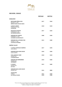

|                                                          | <b>VINTAGE</b> | <b>BOTTLE</b>  |
|----------------------------------------------------------|----------------|----------------|
| <b>BURGUNDY</b>                                          |                |                |
| <b>BOUCHARD PÈRE &amp; FILS</b><br><b>BEAUNE 1ER CRU</b> | 2017           | \$268          |
| <b>GRÈVES VIGNE L'ENFANT JÉSUS</b>                       |                |                |
| <b>LAUNAY-LORIOT</b>                                     | 2018           | \$228          |
| POMMARD1ER CRU<br><b>CLOS BLANC</b>                      |                |                |
| <b>FRANCOIS GAUNOUX</b>                                  | 2017           | \$258          |
| POMMARD1ER CRU                                           |                |                |
| <b>LES GRANDS ÉPENOTS</b>                                |                |                |
| <b>DOMAINE DE COURCEL</b>                                | 2008           | \$308          |
| POMMARD 1ER CRU                                          |                |                |
| LE GRAND CLOS DE ÉPENOTS                                 |                |                |
| <b>DOMAINE DE LA POUSSE D'OR</b>                         | 2012           | \$388          |
| <b>VOLNAY 1ER CRU</b>                                    |                |                |
| <b>CLOS DES 60 OUVRÉES</b>                               |                |                |
| RHÔNE VALLEY                                             |                |                |
| E. GUIGAL CHÂTEAU D'AMPUIS                               | 2017           | \$298          |
| CÔTE-RÔTIE                                               |                |                |
| <b>DOMAINE JEAN-LOUIS CHAVE</b>                          | 2018           | \$208          |
| <b>SAINT JOSEPH</b>                                      |                |                |
| PAUL JABOULET AÎNÉ                                       | 2018           | \$228          |
| HERMITAGE                                                |                |                |
| <b>LA MAISON BLEUE</b>                                   |                |                |
| <b>DOMAINE DES RÉMIZIÈRES</b>                            | 2010           | \$408          |
| <b>HERMITAGE</b>                                         |                |                |
| <b>AUTREMENT</b>                                         |                |                |
| E. GUIGAL                                                | 2015           | \$688          |
| HERMITAGE                                                |                |                |
| EX-VOTO                                                  |                |                |
| <b>DOMAINE JEAN-LOUIS CHAVE</b>                          |                |                |
| <b>HERMITAGE</b>                                         | 2016           | \$888          |
| <b>ALAIN VOGE</b>                                        |                |                |
| <b>CORNAS</b>                                            | 2016<br>2018   | \$208<br>\$188 |
| <b>LES VIEILLES VIGNES</b>                               |                |                |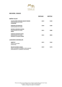

|                                                                                                            | <b>VINTAGE</b> | <b>BOTTLE</b> |
|------------------------------------------------------------------------------------------------------------|----------------|---------------|
| RHÔNE VALLEY                                                                                               |                |               |
| ALAIN JAUME DOMAINE GRAND VENEUR<br>CHÂTEAUNEUF-DU-PAPE<br><b>LE MIOCÈNE</b>                               | 2019           | \$158         |
| <b>DOMAINE DE MARCOUX</b><br>CHÂTEAUNEUF-DU-PAPE                                                           | 2018           | \$188         |
| <b>ROTEM &amp; MOUNIR SAOUMA</b><br>CHÂTEAUNEUF-DU-PAPE<br><b>OMNIA</b>                                    | 2013           | \$288         |
| <b>CHÂTEAU DE BEAUCASTEL</b><br>CHÂTEAUNEUF-DU-PAPE<br><b>HOMMAGE À JACQUES PERRIN</b>                     | 2012           | \$838         |
| <b>LANGUEDOC-ROUSSILLON</b>                                                                                |                |               |
| <b>AMISTAT</b><br><b>CÔTES CATALANES</b><br>[GRENACHE]                                                     | 2015           | \$168         |
| <b>MAS DE DAUMAS GASSAC</b><br>SAINT-GUILHEM-LE-DÉSERT CITÉ D'ANIANE<br>[PREDOMINANTLY CABERNET SAUVIGNON] | 2019           | \$178         |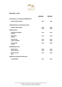

# **RED WINE - ITALY**

|                                             | <b>VINTAGE</b> | <b>BOTTLE</b> |
|---------------------------------------------|----------------|---------------|
| <b>VALPOLICELLA CLASSICO SUPERIORE DOC</b>  |                |               |
| <b>GIUSEPPE QUINTARELLI</b>                 | 2007           | \$248         |
| <b>AMARONE DELLA VALPOLICELLA DOC</b>       |                |               |
| <b>GIUSEPPE QUINTARELLI</b>                 | 2006           | \$888         |
| <b>BAROLO DOCG</b>                          | 2011           | \$728         |
| <b>MARCHESI DI BAROLO</b><br><b>CANNUBI</b> | 2014           | \$228         |
| <b>MASSOLINO</b><br><b>PARUSSI</b>          | 2016           | \$258         |
| <b>ELIO ALTARE</b>                          | 2016           | \$328         |
| <b>VIGNETO ARBORINA</b>                     | 2017           | \$288         |
| <b>ELIO ALTARE</b><br><b>CANNUBI</b>        | 2016           | \$488         |
| <b>BARBARESCO DOCG</b>                      |                |               |
| <b>BRUNO ROCCA</b>                          | 2007           | \$338         |
| <b>MARIA ADELAIDE</b>                       | 2008           | \$338         |
| <b>BRUNO GIACOSA</b><br><b>ASILI</b>        | 2012           | \$488         |
| <b>BRUNELLO DI MONTALCINO DOCG</b>          |                |               |
| <b>IL MARRONETO</b>                         | 2017           | \$238         |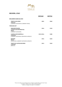

### **RED WINE - ITALY**

|                                                                                                   | <b>VINTAGE</b> | <b>BOTTLE</b> |
|---------------------------------------------------------------------------------------------------|----------------|---------------|
| BOLGHERI SASSICAIA DOC                                                                            |                |               |
| <b>TENUTA SAN GUIDO</b><br><b>SASSICAIA</b><br>[CABERNET SAUVIGNON & CABERNET FRANC]              | 2001           | \$968         |
| TOSCANA IGT                                                                                       |                |               |
| <b>MARCHESI MAZZEI</b><br><b>CASTELLO DI FONTERUTOLI</b><br><b>PHILIP</b><br>[CABERNET SAUVIGNON] | 2016           | \$158         |
| <b>CASTELLO DEI RAMPOLLA</b><br><b>SAMMARCO</b><br>[CABERNET SAUVIGNON, SANGIOVESE & MERLOT]      | 2015/2016      | \$188         |
| <b>RUFFINO</b><br><b>MODUS</b><br>[SANGIOVESE, CABERNET SAUVIGNON & MERLOT]                       | 2016           | \$228         |
| <b>TENUTA DI CASTELGIOCONDO</b><br><b>LAMAIONE</b><br>[MERLOT]                                    | 2013           | \$228         |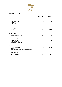

## **RED WINE - SPAIN**

|                                                                                                                       | <b>VINTAGE</b> | <b>BOTTLE</b> |
|-----------------------------------------------------------------------------------------------------------------------|----------------|---------------|
| <b>CAMPO DE BORJA DO</b>                                                                                              |                |               |
| <b>ALTO MONCAYO</b><br><b>VERATON</b><br>[GARNACHA]                                                                   | 2018           | \$148         |
| <b>RIBERA DEL DUERO DO</b>                                                                                            |                |               |
| <b>VEGA SICILIA</b><br><b>UNICO</b><br>[TEMPRANILLO & CABERNET SAUVIGNON]                                             | 2000           | \$1288        |
| <b>RIOJA DOCa</b>                                                                                                     |                |               |
| <b>VIÑEDOS DE PÁGANOS</b><br><b>EL PUNTIDO</b><br>[TEMPRANILLO]                                                       | 2016           | \$178         |
| LA RIOJA ALTA<br><b>GRAN RESERVA 904</b><br>[TEMPRANILLO & MAZUELO]                                                   | 2011           | \$208         |
| <b>PRIORIAT DOCa</b>                                                                                                  |                |               |
| <b>ALVARO PALACIOS</b><br>L'ERMITA<br>[GARNACHA, CABERNET SAUVIGNON & CARIÑERA]                                       | 2000           | \$1198        |
| <b>TARRAGONA DO</b>                                                                                                   |                |               |
| <b>MIGUEL TORRES</b><br><b>GRAN MURALLES</b><br>CONCA DE BARBERÀ DO<br>[GARRÓ, SAMSÓ, GARNACHA, MAZUELO & MONASTRELL] | 2004           | \$268         |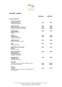

### **RED WINE - AMERICA**

|                                                                                                         | <b>VINTAGE</b>       | <b>BOTTLE</b>           |
|---------------------------------------------------------------------------------------------------------|----------------------|-------------------------|
| NAPA VALLEY AVA                                                                                         |                      |                         |
| <b>CAYMUS VINEYARDS</b><br><b>SPECIAL SELECTION</b><br>[CABERNET SAUVIGNON]                             | 2017                 | \$400                   |
| <b>REALM CELLARS</b><br>PROPRIETARY RED, THE TEMPEST<br>[MERLOT & CABERNET SAUVIGNON]                   | 2013<br>2014<br>2016 | \$528<br>\$498<br>\$448 |
| <b>KONGSGAARD</b><br><b>HUDSON VINEYARD</b><br>[SYRAH]                                                  | 2008                 | \$638                   |
| <b>MORLET</b><br><b>PASSIONNÉMENT</b><br>[CABERNET SAUVIGNON]                                           | 2007<br>2011         | \$628<br>\$588          |
| <b>AMUSE BOUCHE</b><br>[MERLOT & CABERNET FRANC]                                                        | 2014                 | \$588                   |
| <b>OVID</b><br>[BORDEAUX BLEND]                                                                         | 2012                 | \$588                   |
| <b>JOSEPH PHELPS VINEYARDS</b><br><b>INSIGNIA</b><br>[BORDEAUX BLEND]                                   | 2018                 | \$638                   |
| <b>SHAFER VINEYARDS</b><br><b>HILLSIDE SELECT</b><br><b>STAGS LEAP DISTRICT</b><br>[CABERNET SAUVIGNON] | 2006                 | \$888                   |
| <b>HUNDRED ACRE</b><br><b>FORTUNATE SON</b><br>[CABERNET SAUVIGNON]                                     | 2010                 | \$988                   |
| <b>OPUS ONE</b><br>[CABERNET SAUVIGNON, MERLOT, CABERNET FRANC,<br>PETIT VERDOT & MALBEC]               | 2007<br>2008         | \$1098<br>\$1098        |
| <b>COLGIN</b><br><b>IX ESTATE</b><br>[CABERNET SAUVIGNON, MERLOT, CABERNET FRANC &<br>PETIT VERDOT]     | 2006                 | \$1398                  |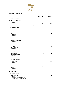

### **RED WINE - AMERICA**

|                                                                                                                       | <b>VINTAGE</b> | <b>BOTTLE</b> |
|-----------------------------------------------------------------------------------------------------------------------|----------------|---------------|
| <b>SONOMA COUNTY</b><br><b>KNIGHTS VALLEY AVA</b>                                                                     |                |               |
| PETER MICHAEL<br><b>LES PAVOTS</b><br>[CABERNET SAUVIGNON, CABERNET FRANC & MERLOT]                                   | 2014           | \$588         |
| <b>SONOMA COAST AVA</b>                                                                                               |                |               |
| <b>WAYFARER</b><br>[PINOT NOIR]                                                                                       | 2014           | \$298         |
| <b>MORLET</b><br><b>JOLI COEUR</b><br>[PINOT NOIR]                                                                    | 2012           | \$368         |
| <b>CENTRAL COAST</b>                                                                                                  |                |               |
| <b>DOMAINE DE LA CÔTE</b><br>[PINOT NOIR]                                                                             | 2012           | \$228         |
| <b>MOUNT HARLAN AVA</b>                                                                                               |                |               |
| <b>CALERA</b><br><b>MILLS VINEYARD</b><br>[PINOT NOIR]                                                                | 2012           | \$268         |
| <b>SIERRA FOOTHILLS AVA</b>                                                                                           |                |               |
| <b>DIRTY &amp; ROWDY</b><br><b>SHAKE RIDGE RANCH</b><br>[MOURVÈDRE]                                                   | 2016           | \$168         |
| <b>OREGON</b><br><b>WILLIAMETTE VALLEY AVA</b>                                                                        |                |               |
| <b>ANTICA TERRA</b><br><b>BOTANICA</b><br>[PINOT NOIR]                                                                | 2016           | \$278         |
| <b>BEAUX FRÈRES</b><br><b>ESTATE</b><br>[PINOT NOIR]                                                                  | 2017           | \$308         |
| <b>WASHINGTON</b><br><b>COLUMBIA VALLEY AVA</b>                                                                       |                |               |
| <b>QUILCEDA CREEK</b><br><b>RED WINE</b><br>[CABERNET SAUVIGNON, MERLOT,<br><b>CABERNET FRANC &amp; PETIT VERDOT]</b> | 2013           | \$268         |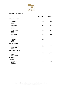

# **RED WINE - AUSTRALIA**

|                                                       | <b>VINTAGE</b> | <b>BOTTLE</b> |
|-------------------------------------------------------|----------------|---------------|
| <b>BAROSSA VALLEY</b>                                 |                |               |
| <b>TORBRECK</b><br><b>STRUIE</b><br>[SHIRAZ]          | 2018           | \$208         |
| <b>TWO HANDS</b><br><b>HOLY GRAIL</b><br>[SHIRAZ]     | 2019           | \$228         |
| <b>GRANT BURGE</b><br><b>MESHACH</b><br>[SHIRAZ]      | 2012           | \$248         |
| <b>TWO HANDS</b><br><b>ARES</b><br>[SHIRAZ]           | 2016           | \$288         |
| <b>TORBRECK</b><br><b>RUNRIG</b><br>[SHIRAZ]          | 2012           | \$798         |
| <b>MCLAREN VALE</b>                                   |                |               |
| <b>MOLLYDOOKER</b><br><b>VELVET GLOVE</b><br>[SHIRAZ] | 2017           | \$448         |
| <b>MULTIPLE REGIONS</b>                               |                |               |
| <b>PENFOLDS</b><br><b>GRANGE</b><br>[SHIRAZ BLEND]    | 2008           | \$1388        |
| <b>VICTORIA</b><br><b>GEELONG</b>                     |                |               |
| <b>LETHBRIDGE</b><br><b>MIETTA</b><br>[PINOT NOIR]    | 2017           | \$168         |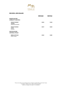

## **RED WINE - NEW ZEALAND**

|                                                          | <b>VINTAGE</b> | <b>BOTTLE</b> |
|----------------------------------------------------------|----------------|---------------|
| <b>NORTH ISLAND</b><br><b>GIMBLETT GRAVELS</b>           |                |               |
| <b>CRAGGY RANGE</b><br><b>TEKAHU</b><br>[BORDEAUX BLEND] | 2018           | \$138         |
| <b>CRAGGY RANGE</b><br><b>LE SOL</b><br>[SYRAH]          | 2019           | \$228         |
| <b>SOUTH ISLAND</b>                                      |                |               |
| <b>CENTRAL OTAGO</b>                                     |                |               |
| <b>BURN COTTAGE</b><br>[PINOT NOIR]                      | 2018           | \$180         |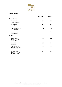

# **375ML FORMATS**

|                                                                            | <b>VINTAGE</b> | <b>BOTTLE</b> |
|----------------------------------------------------------------------------|----------------|---------------|
| <b>CHAMPAGNES</b>                                                          |                |               |
| <b>DELAMOTTE</b><br><b>BLANC DE BLANCS</b>                                 | N.V.           | \$108         |
| <b>TAITTINGER</b><br><b>BRUT RÉSERVE</b>                                   | N.V.           | \$118         |
| <b>GUY CHARLEMAGNE</b><br><b>BRUT RÉSERVE</b>                              | N.V.           | \$128         |
| <b>KRUG</b><br><b>GRANDE CUVÉE</b>                                         | N.V.           | \$350         |
| <b>WHITE</b>                                                               |                |               |
| <b>M.CHAPOUTIER</b><br>CÔTES-DU-RHÔNE<br><b>BELLERUCHE</b>                 | 2018           | \$88          |
| <b>DU NOZAY</b><br><b>SANCERRE</b>                                         | 2018           | \$88          |
| <b>LATOUR GIRAUD</b><br><b>MEURSAULT 1ER CRU</b><br><b>LES GENEVRIÈRES</b> | 2018           | \$138         |
| <b>HENRI BOILLOT</b><br><b>MEURSAULT 1ER CRU</b><br><b>LES GENEVRIÈRES</b> | 2016           | \$168         |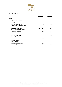

## **375ML FORMATS**

|                                                                 | <b>VINTAGE</b> | <b>BOTTLE</b> |
|-----------------------------------------------------------------|----------------|---------------|
| <b>RED</b>                                                      |                |               |
| <b>CHÂTEAU LAFLEUR GAZIN</b><br>POMEROL                         | 2017           | \$108         |
| <b>CHÂTEAU SAINT PIERRE</b><br>SAINT JULIEN 4ÈME CRU CLASSÉ     | 2019           | \$128         |
| <b>PAUILLAC DE LATOUR</b><br>3RD WINE OF CHÂTEAU LATOUR         | 2015/2016      | \$138         |
| <b>DOMAINE D'EUGÉNIE</b><br><b>VOSNE-ROMANÉE</b>                | 2017           | \$138         |
| <b>CRISTOM VINEYARDS</b><br><b>JESSIE VINEYARD</b>              | 2018           | \$148         |
| <b>LA SPINETTA</b><br>BARBARESCO DOCG<br><b>VIGNETO BORDINI</b> | 2016           | \$168         |
| <b>CHÂTEAU LYNCH-BAGES</b><br>PAUILLAC 5ÈME CRU CLASSÉ          | 2017           | \$198         |